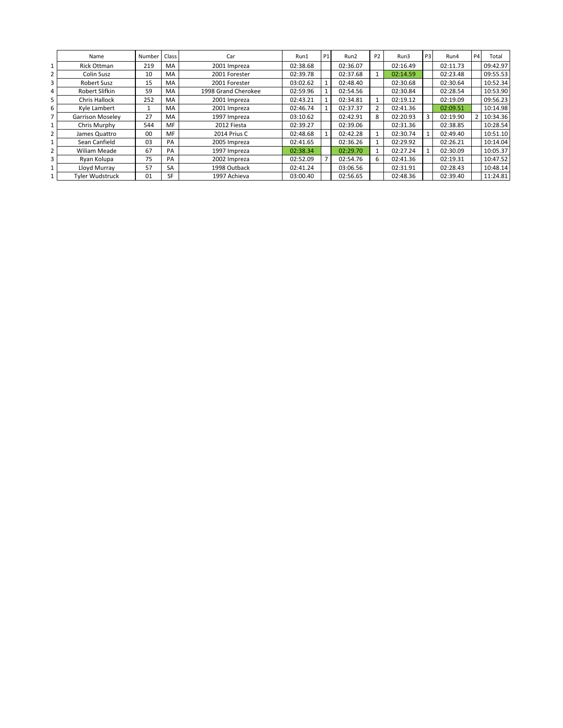|                | Name                    | Number | Class     | Car                 | Run1     | <b>P1</b> | Run2     | P <sub>2</sub> | Run3     | P3 | Run4     | <b>P4</b> | Total    |
|----------------|-------------------------|--------|-----------|---------------------|----------|-----------|----------|----------------|----------|----|----------|-----------|----------|
| 1              | Rick Ottman             | 219    | <b>MA</b> | 2001 Impreza        | 02:38.68 |           | 02:36.07 |                | 02:16.49 |    | 02:11.73 |           | 09:42.97 |
| $\overline{2}$ | Colin Susz              | 10     | <b>MA</b> | 2001 Forester       | 02:39.78 |           | 02:37.68 |                | 02:14.59 |    | 02:23.48 |           | 09:55.53 |
| 3              | Robert Susz             | 15     | <b>MA</b> | 2001 Forester       | 03:02.62 |           | 02:48.40 |                | 02:30.68 |    | 02:30.64 |           | 10:52.34 |
| 4              | Robert Slifkin          | 59     | MA        | 1998 Grand Cherokee | 02:59.96 |           | 02:54.56 |                | 02:30.84 |    | 02:28.54 |           | 10:53.90 |
| 5              | <b>Chris Hallock</b>    | 252    | <b>MA</b> | 2001 Impreza        | 02:43.21 |           | 02:34.81 |                | 02:19.12 |    | 02:19.09 |           | 09:56.23 |
| 6              | Kyle Lambert            |        | <b>MA</b> | 2001 Impreza        | 02:46.74 |           | 02:37.37 | 2              | 02:41.36 |    | 02:09.51 |           | 10:14.98 |
| 7              | <b>Garrison Moselev</b> | 27     | MA        | 1997 Impreza        | 03:10.62 |           | 02:42.91 | 8              | 02:20.93 | 3  | 02:19.90 |           | 10:34.36 |
| 1              | Chris Murphy            | 544    | MF        | 2012 Fiesta         | 02:39.27 |           | 02:39.06 |                | 02:31.36 |    | 02:38.85 |           | 10:28.54 |
| $\overline{2}$ | James Quattro           | 00     | MF        | 2014 Prius C        | 02:48.68 |           | 02:42.28 |                | 02:30.74 |    | 02:49.40 |           | 10:51.10 |
|                | Sean Canfield           | 03     | PA        | 2005 Impreza        | 02:41.65 |           | 02:36.26 |                | 02:29.92 |    | 02:26.21 |           | 10:14.04 |
| $\overline{2}$ | <b>Wiliam Meade</b>     | 67     | PA        | 1997 Impreza        | 02:38.34 |           | 02:29.70 |                | 02:27.24 |    | 02:30.09 |           | 10:05.37 |
| 3              | Ryan Kolupa             | 75     | PA        | 2002 Impreza        | 02:52.09 |           | 02:54.76 | 6              | 02:41.36 |    | 02:19.31 |           | 10:47.52 |
| 1              | Lloyd Murray            | 57     | <b>SA</b> | 1998 Outback        | 02:41.24 |           | 03:06.56 |                | 02:31.91 |    | 02:28.43 |           | 10:48.14 |
| 1              | <b>Tyler Wudstruck</b>  | 01     | <b>SF</b> | 1997 Achieva        | 03:00.40 |           | 02:56.65 |                | 02:48.36 |    | 02:39.40 |           | 11:24.81 |